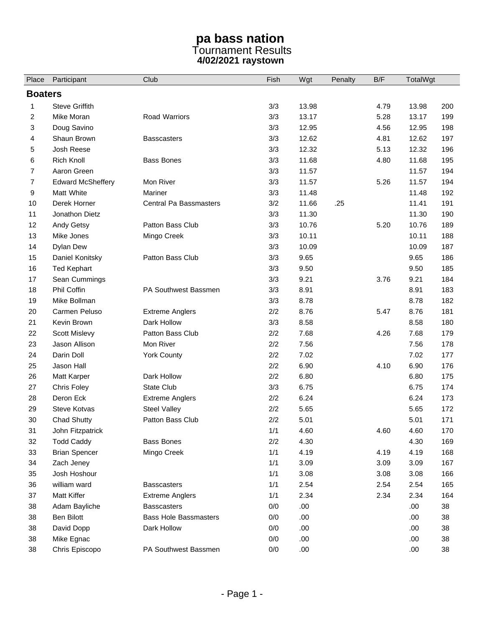## **pa bass nation**  Tournament Results **4/02/2021 raystown**

| Place          | Participant              | Club                         | Fish | Wgt   | Penalty | B/F  | TotalWgt |     |  |  |
|----------------|--------------------------|------------------------------|------|-------|---------|------|----------|-----|--|--|
| <b>Boaters</b> |                          |                              |      |       |         |      |          |     |  |  |
| 1              | <b>Steve Griffith</b>    |                              | 3/3  | 13.98 |         | 4.79 | 13.98    | 200 |  |  |
| 2              | Mike Moran               | Road Warriors                | 3/3  | 13.17 |         | 5.28 | 13.17    | 199 |  |  |
| 3              | Doug Savino              |                              | 3/3  | 12.95 |         | 4.56 | 12.95    | 198 |  |  |
| 4              | Shaun Brown              | <b>Basscasters</b>           | 3/3  | 12.62 |         | 4.81 | 12.62    | 197 |  |  |
| 5              | Josh Reese               |                              | 3/3  | 12.32 |         | 5.13 | 12.32    | 196 |  |  |
| 6              | Rich Knoll               | <b>Bass Bones</b>            | 3/3  | 11.68 |         | 4.80 | 11.68    | 195 |  |  |
| $\overline{7}$ | Aaron Green              |                              | 3/3  | 11.57 |         |      | 11.57    | 194 |  |  |
| 7              | <b>Edward McSheffery</b> | Mon River                    | 3/3  | 11.57 |         | 5.26 | 11.57    | 194 |  |  |
| 9              | Matt White               | Mariner                      | 3/3  | 11.48 |         |      | 11.48    | 192 |  |  |
| 10             | Derek Horner             | Central Pa Bassmasters       | 3/2  | 11.66 | .25     |      | 11.41    | 191 |  |  |
| 11             | Jonathon Dietz           |                              | 3/3  | 11.30 |         |      | 11.30    | 190 |  |  |
| 12             | Andy Getsy               | Patton Bass Club             | 3/3  | 10.76 |         | 5.20 | 10.76    | 189 |  |  |
| 13             | Mike Jones               | Mingo Creek                  | 3/3  | 10.11 |         |      | 10.11    | 188 |  |  |
| 14             | Dylan Dew                |                              | 3/3  | 10.09 |         |      | 10.09    | 187 |  |  |
| 15             | Daniel Konitsky          | Patton Bass Club             | 3/3  | 9.65  |         |      | 9.65     | 186 |  |  |
| 16             | <b>Ted Kephart</b>       |                              | 3/3  | 9.50  |         |      | 9.50     | 185 |  |  |
| 17             | Sean Cummings            |                              | 3/3  | 9.21  |         | 3.76 | 9.21     | 184 |  |  |
| 18             | Phil Coffin              | PA Southwest Bassmen         | 3/3  | 8.91  |         |      | 8.91     | 183 |  |  |
| 19             | Mike Bollman             |                              | 3/3  | 8.78  |         |      | 8.78     | 182 |  |  |
| 20             | Carmen Peluso            | <b>Extreme Anglers</b>       | 2/2  | 8.76  |         | 5.47 | 8.76     | 181 |  |  |
| 21             | Kevin Brown              | Dark Hollow                  | 3/3  | 8.58  |         |      | 8.58     | 180 |  |  |
| 22             | <b>Scott Mislevy</b>     | Patton Bass Club             | 2/2  | 7.68  |         | 4.26 | 7.68     | 179 |  |  |
| 23             | Jason Allison            | Mon River                    | 2/2  | 7.56  |         |      | 7.56     | 178 |  |  |
| 24             | Darin Doll               | York County                  | 2/2  | 7.02  |         |      | 7.02     | 177 |  |  |
| 25             | Jason Hall               |                              | 2/2  | 6.90  |         | 4.10 | 6.90     | 176 |  |  |
| 26             | <b>Matt Karper</b>       | Dark Hollow                  | 2/2  | 6.80  |         |      | 6.80     | 175 |  |  |
| 27             | Chris Foley              | State Club                   | 3/3  | 6.75  |         |      | 6.75     | 174 |  |  |
| 28             | Deron Eck                | <b>Extreme Anglers</b>       | 2/2  | 6.24  |         |      | 6.24     | 173 |  |  |
| 29             | <b>Steve Kotvas</b>      | <b>Steel Valley</b>          | 2/2  | 5.65  |         |      | 5.65     | 172 |  |  |
| 30             | <b>Chad Shutty</b>       | Patton Bass Club             | 2/2  | 5.01  |         |      | 5.01     | 171 |  |  |
| 31             | John Fitzpatrick         |                              | 1/1  | 4.60  |         | 4.60 | 4.60     | 170 |  |  |
| 32             | <b>Todd Caddy</b>        | <b>Bass Bones</b>            | 2/2  | 4.30  |         |      | 4.30     | 169 |  |  |
| 33             | <b>Brian Spencer</b>     | Mingo Creek                  | 1/1  | 4.19  |         | 4.19 | 4.19     | 168 |  |  |
| 34             | Zach Jeney               |                              | 1/1  | 3.09  |         | 3.09 | 3.09     | 167 |  |  |
| 35             | Josh Hoshour             |                              | 1/1  | 3.08  |         | 3.08 | 3.08     | 166 |  |  |
| 36             | william ward             | <b>Basscasters</b>           | 1/1  | 2.54  |         | 2.54 | 2.54     | 165 |  |  |
| 37             | Matt Kiffer              | <b>Extreme Anglers</b>       | 1/1  | 2.34  |         | 2.34 | 2.34     | 164 |  |  |
| 38             | Adam Bayliche            | <b>Basscasters</b>           | 0/0  | .00.  |         |      | .00.     | 38  |  |  |
| 38             | Ben Bilott               | <b>Bass Hole Bassmasters</b> | 0/0  | .00.  |         |      | .00.     | 38  |  |  |
| 38             | David Dopp               | Dark Hollow                  | 0/0  | .00.  |         |      | .00.     | 38  |  |  |
| 38             | Mike Egnac               |                              | 0/0  | .00   |         |      | .00.     | 38  |  |  |
| 38             | Chris Episcopo           | PA Southwest Bassmen         | 0/0  | .00   |         |      | .00.     | 38  |  |  |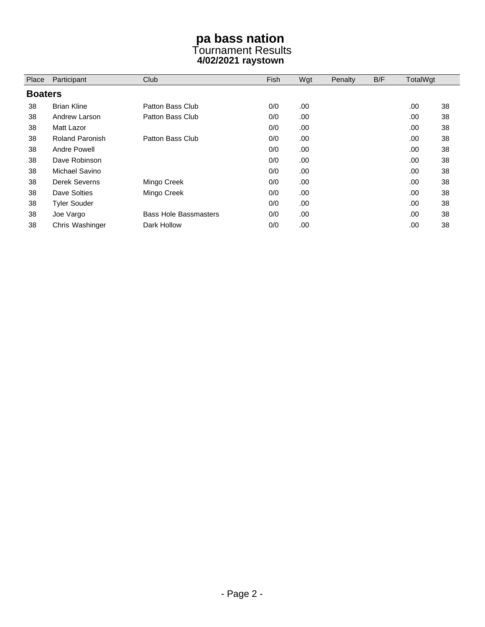## **pa bass nation**  Tournament Results **4/02/2021 raystown**

| Place          | Participant            | Club                         | Fish | Wgt | Penalty | B/F | TotalWgt |    |
|----------------|------------------------|------------------------------|------|-----|---------|-----|----------|----|
| <b>Boaters</b> |                        |                              |      |     |         |     |          |    |
| 38             | <b>Brian Kline</b>     | Patton Bass Club             | 0/0  | .00 |         |     | .00.     | 38 |
| 38             | Andrew Larson          | Patton Bass Club             | 0/0  | .00 |         |     | .00.     | 38 |
| 38             | Matt Lazor             |                              | 0/0  | .00 |         |     | .00.     | 38 |
| 38             | <b>Roland Paronish</b> | Patton Bass Club             | 0/0  | .00 |         |     | .00.     | 38 |
| 38             | Andre Powell           |                              | 0/0  | .00 |         |     | .00.     | 38 |
| 38             | Dave Robinson          |                              | 0/0  | .00 |         |     | .00.     | 38 |
| 38             | Michael Savino         |                              | 0/0  | .00 |         |     | .00.     | 38 |
| 38             | Derek Severns          | Mingo Creek                  | 0/0  | .00 |         |     | .00      | 38 |
| 38             | Dave Solties           | Mingo Creek                  | 0/0  | .00 |         |     | .00.     | 38 |
| 38             | <b>Tyler Souder</b>    |                              | 0/0  | .00 |         |     | .00.     | 38 |
| 38             | Joe Vargo              | <b>Bass Hole Bassmasters</b> | 0/0  | .00 |         |     | .00.     | 38 |
| 38             | Chris Washinger        | Dark Hollow                  | 0/0  | .00 |         |     | .00      | 38 |